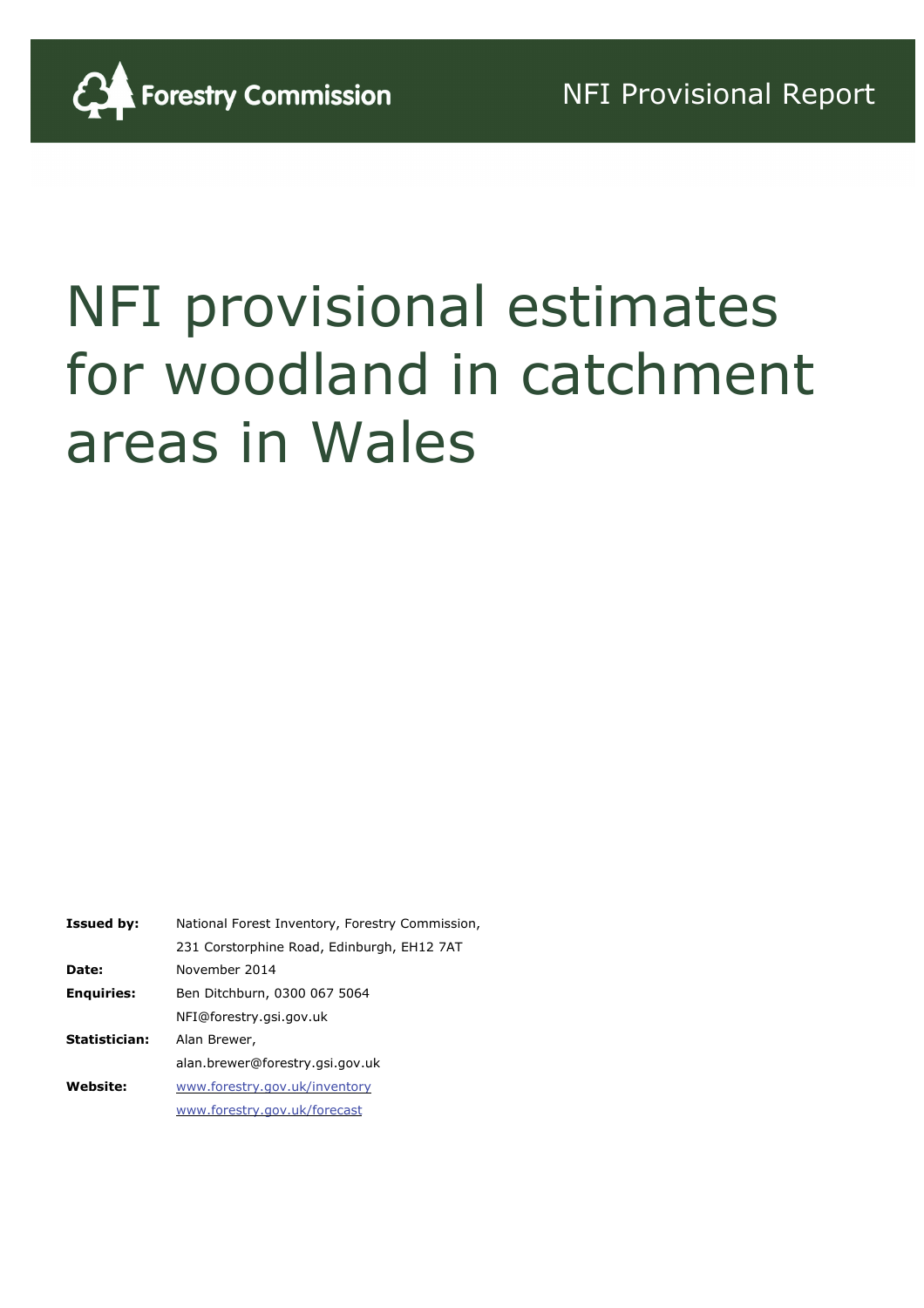

# NFI provisional estimates for woodland in catchment areas in Wales

| <b>Issued by:</b>    | National Forest Inventory, Forestry Commission, |
|----------------------|-------------------------------------------------|
|                      | 231 Corstorphine Road, Edinburgh, EH12 7AT      |
| Date:                | November 2014                                   |
| <b>Enguiries:</b>    | Ben Ditchburn, 0300 067 5064                    |
|                      | NFI@forestry.gsi.gov.uk                         |
| <b>Statistician:</b> | Alan Brewer,                                    |
|                      | alan.brewer@forestry.gsi.gov.uk                 |
| <b>Website:</b>      | www.forestry.gov.uk/inventory                   |
|                      | www.forestry.gov.uk/forecast                    |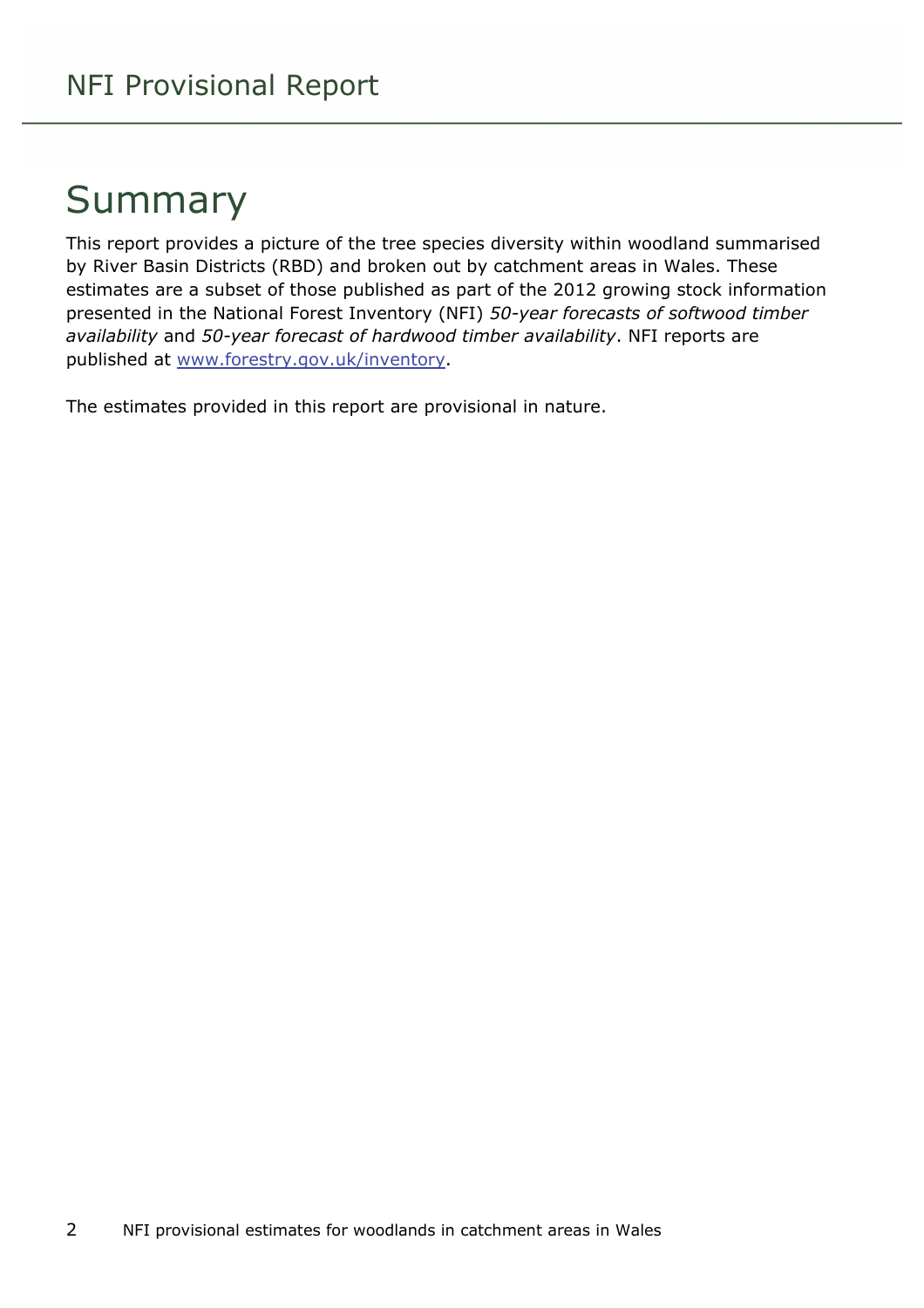### Summary

This report provides a picture of the tree species diversity within woodland summarised by River Basin Districts (RBD) and broken out by catchment areas in Wales. These estimates are a subset of those published as part of the 2012 growing stock information presented in the National Forest Inventory (NFI) *50-year forecasts of softwood timber availability* and *50-year forecast of hardwood timber availability*. NFI reports are published at [www.forestry.gov.uk/inventory.](http://www.forestry.gov.uk/inventory)

The estimates provided in this report are provisional in nature.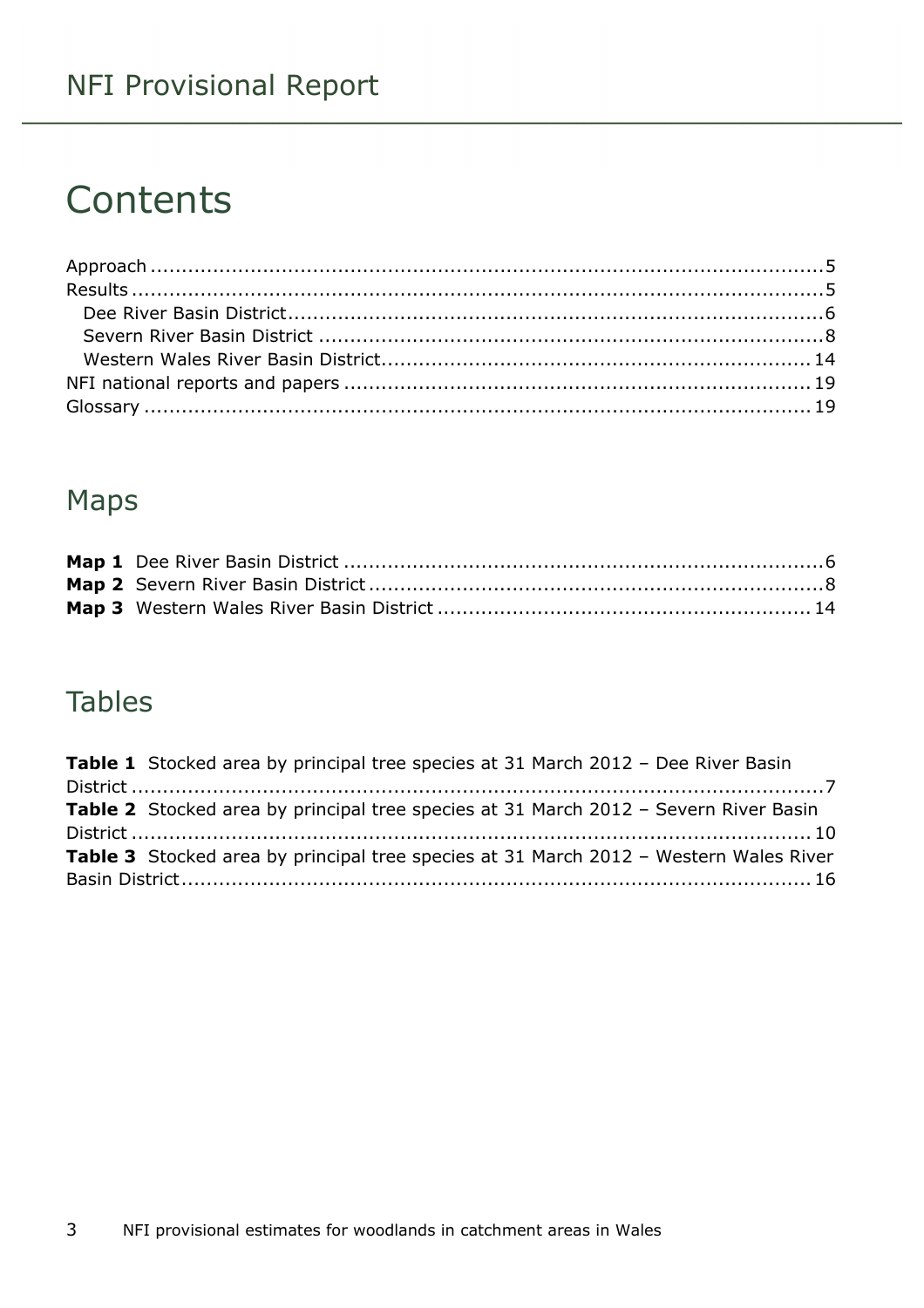### NFI Provisional Report

### **Contents**

### Maps

#### Tables

| <b>Table 1</b> Stocked area by principal tree species at 31 March 2012 - Dee River Basin |  |
|------------------------------------------------------------------------------------------|--|
|                                                                                          |  |
| Table 2 Stocked area by principal tree species at 31 March 2012 - Severn River Basin     |  |
|                                                                                          |  |
| Table 3 Stocked area by principal tree species at 31 March 2012 - Western Wales River    |  |
|                                                                                          |  |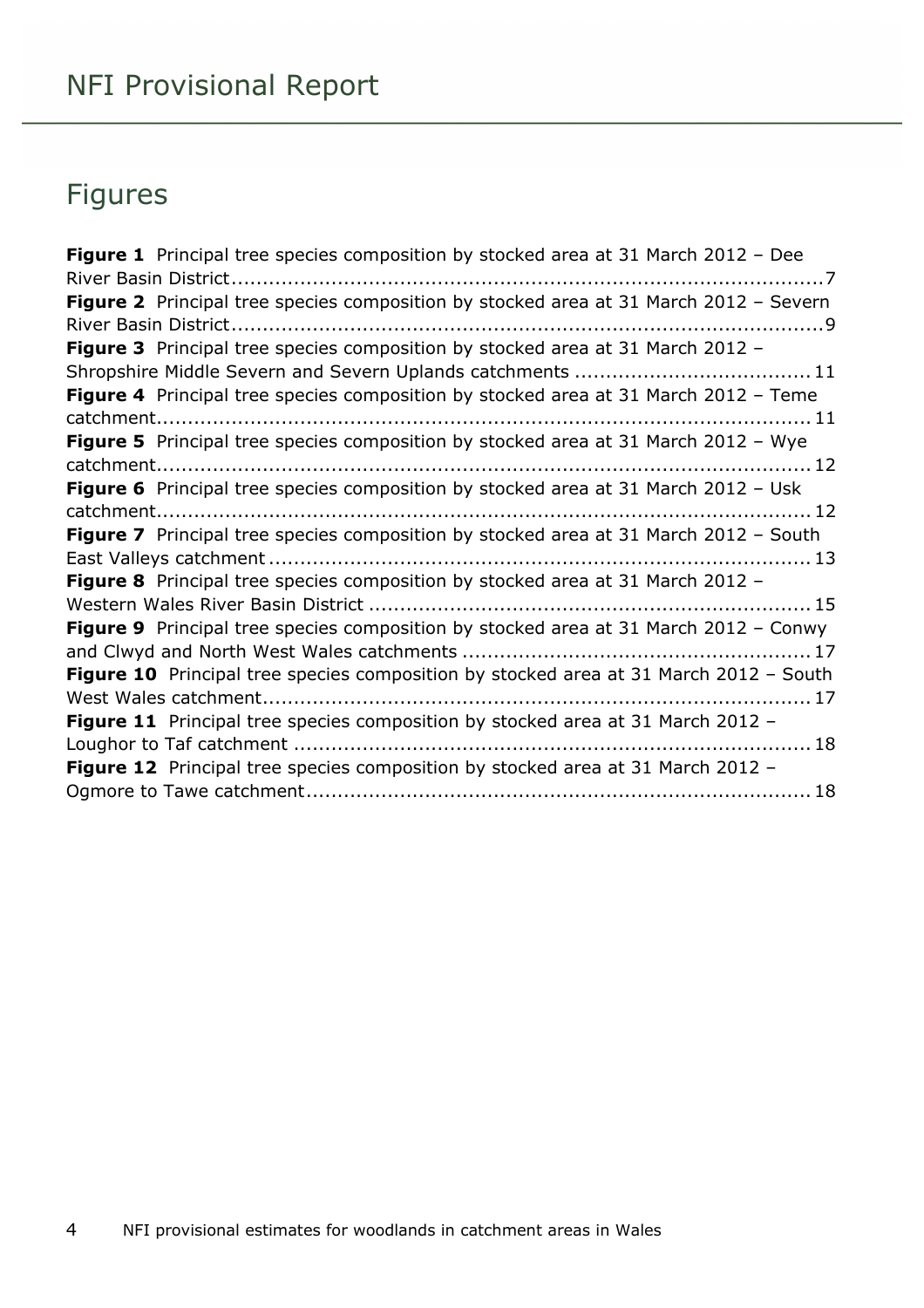### Figures

| Figure 1 Principal tree species composition by stocked area at 31 March 2012 - Dee           |
|----------------------------------------------------------------------------------------------|
| Figure 2 Principal tree species composition by stocked area at 31 March 2012 - Severn        |
| Figure 3 Principal tree species composition by stocked area at 31 March 2012 -               |
| Figure 4 Principal tree species composition by stocked area at 31 March 2012 - Teme          |
| Figure 5 Principal tree species composition by stocked area at 31 March 2012 - Wye           |
| Figure 6 Principal tree species composition by stocked area at 31 March 2012 - Usk           |
| Figure 7 Principal tree species composition by stocked area at 31 March 2012 - South         |
| Figure 8 Principal tree species composition by stocked area at 31 March 2012 -               |
| Figure 9 Principal tree species composition by stocked area at 31 March 2012 - Conwy         |
| <b>Figure 10</b> Principal tree species composition by stocked area at 31 March 2012 - South |
| Figure 11 Principal tree species composition by stocked area at 31 March 2012 -              |
| Figure 12 Principal tree species composition by stocked area at 31 March 2012 -              |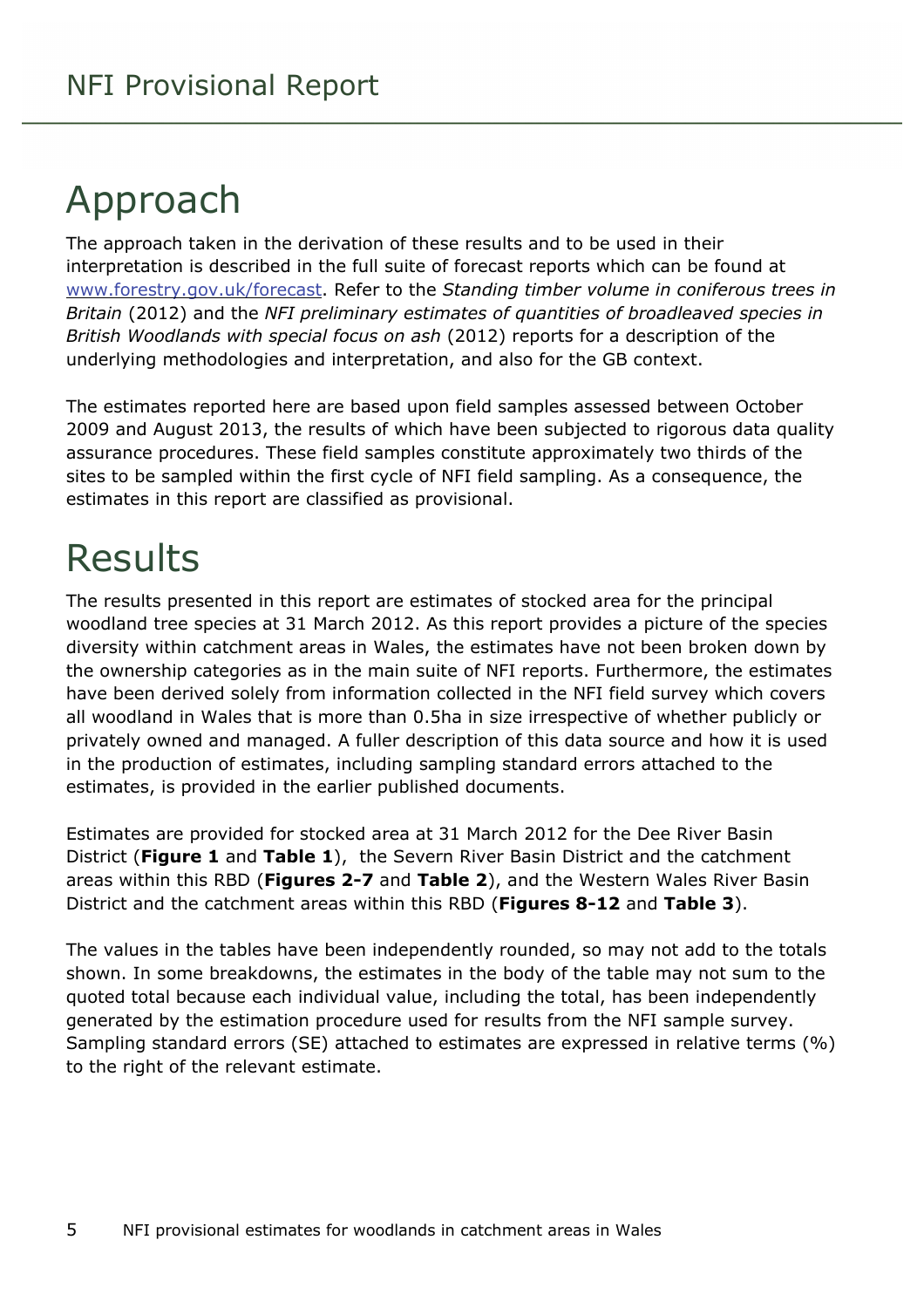## <span id="page-4-0"></span>Approach

The approach taken in the derivation of these results and to be used in their interpretation is described in the full suite of forecast reports which can be found at [www.forestry.gov.uk/forecast](http://www.forestry.gov.uk/forecast). Refer to the *Standing timber volume in coniferous trees in Britain* (2012) and the *NFI preliminary estimates of quantities of broadleaved species in British Woodlands with special focus on ash* (2012) reports for a description of the underlying methodologies and interpretation, and also for the GB context.

The estimates reported here are based upon field samples assessed between October 2009 and August 2013, the results of which have been subjected to rigorous data quality assurance procedures. These field samples constitute approximately two thirds of the sites to be sampled within the first cycle of NFI field sampling. As a consequence, the estimates in this report are classified as provisional.

### <span id="page-4-1"></span>Results

The results presented in this report are estimates of stocked area for the principal woodland tree species at 31 March 2012. As this report provides a picture of the species diversity within catchment areas in Wales, the estimates have not been broken down by the ownership categories as in the main suite of NFI reports. Furthermore, the estimates have been derived solely from information collected in the NFI field survey which covers all woodland in Wales that is more than 0.5ha in size irrespective of whether publicly or privately owned and managed. A fuller description of this data source and how it is used in the production of estimates, including sampling standard errors attached to the estimates, is provided in the earlier published documents.

Estimates are provided for stocked area at 31 March 2012 for the Dee River Basin District (**Figure 1** and **Table 1**), the Severn River Basin District and the catchment areas within this RBD (**Figures 2-7** and **Table 2**), and the Western Wales River Basin District and the catchment areas within this RBD (**Figures 8-12** and **Table 3**).

The values in the tables have been independently rounded, so may not add to the totals shown. In some breakdowns, the estimates in the body of the table may not sum to the quoted total because each individual value, including the total, has been independently generated by the estimation procedure used for results from the NFI sample survey. Sampling standard errors (SE) attached to estimates are expressed in relative terms (%) to the right of the relevant estimate.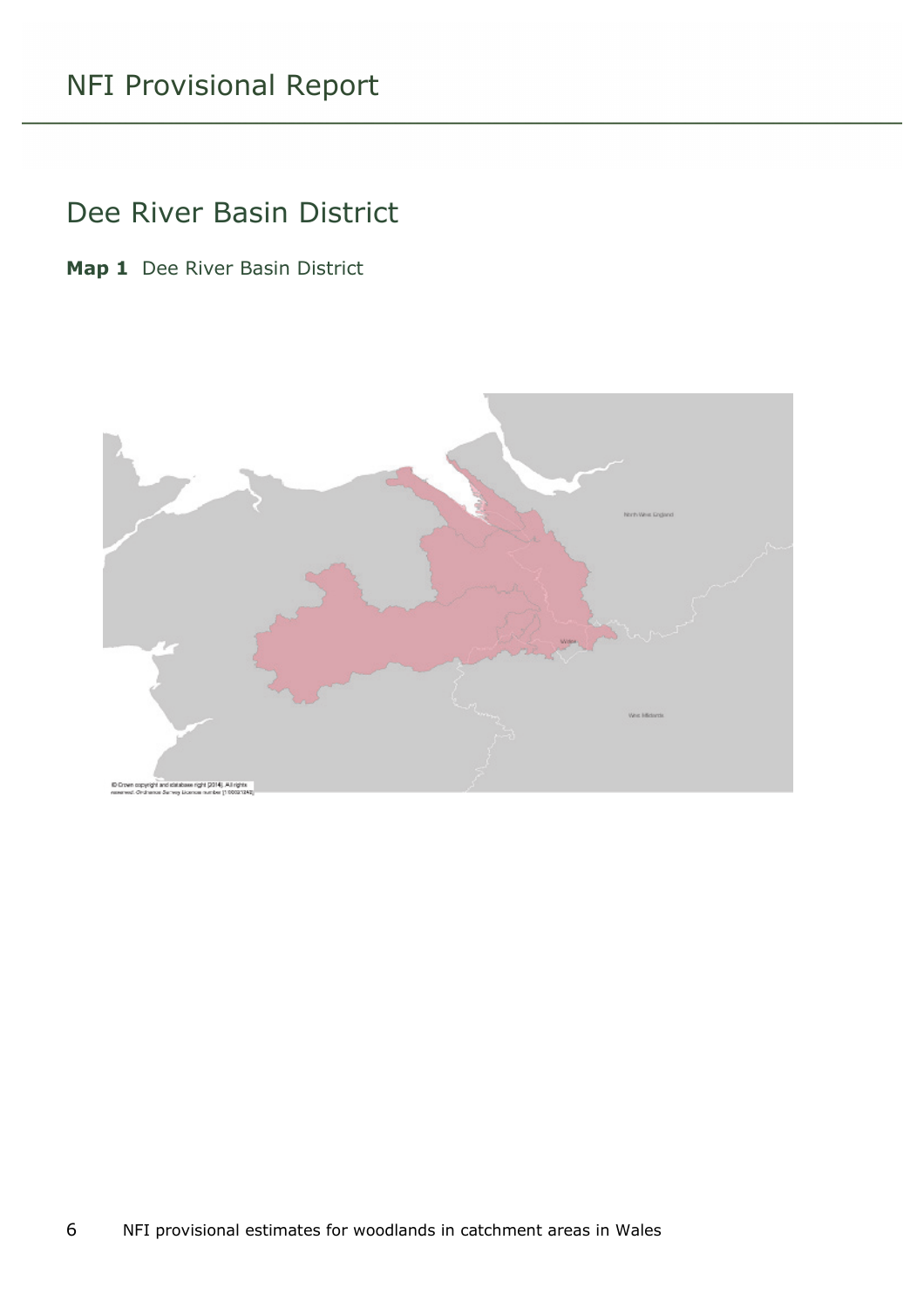#### <span id="page-5-0"></span>Dee River Basin District

<span id="page-5-1"></span>**Map 1** Dee River Basin District

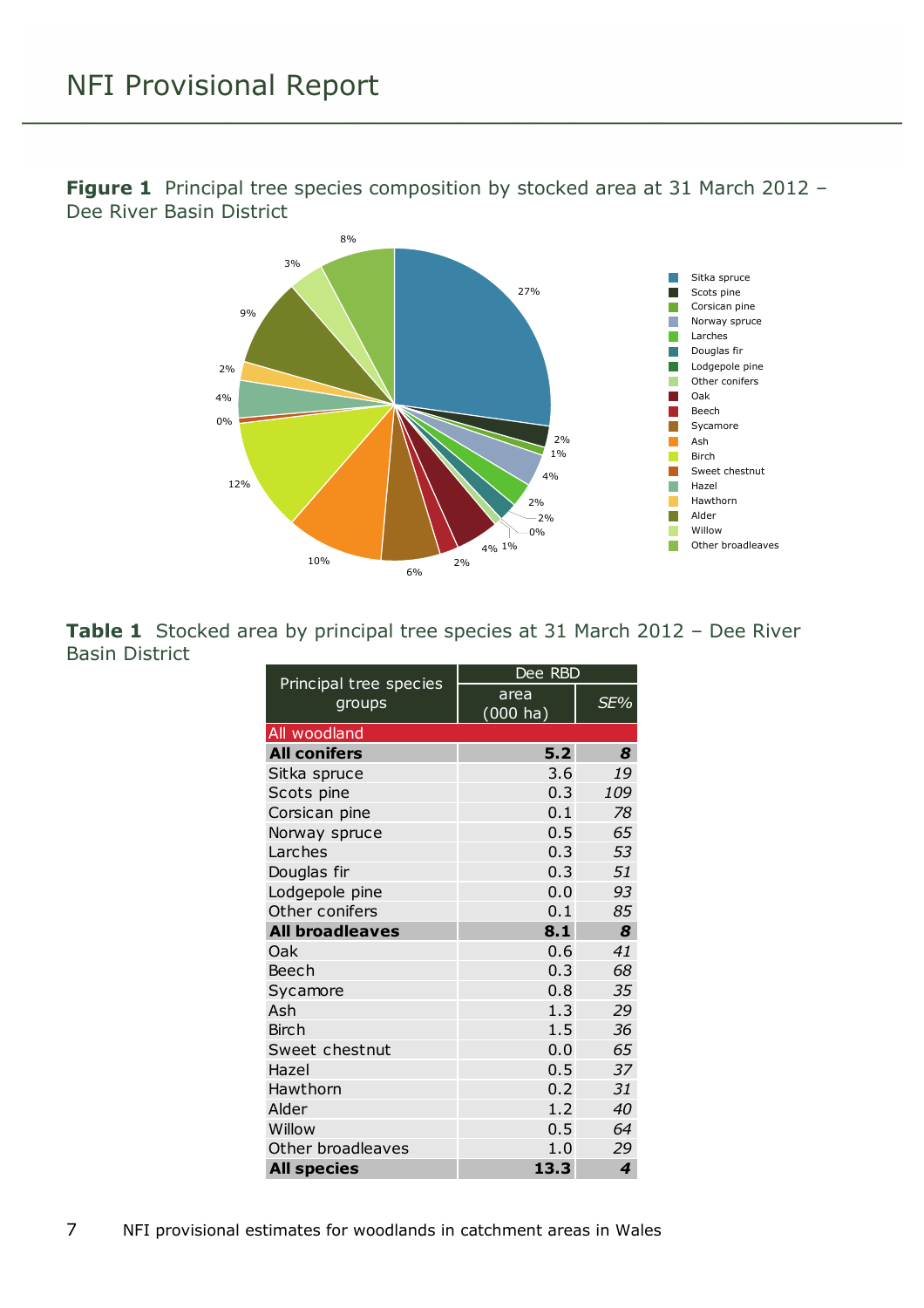

<span id="page-6-1"></span>**Figure 1** Principal tree species composition by stocked area at 31 March 2012 -Dee River Basin District

<span id="page-6-0"></span>

|                       |  | <b>Table 1</b> Stocked area by principal tree species at 31 March 2012 - Dee River |  |  |  |  |
|-----------------------|--|------------------------------------------------------------------------------------|--|--|--|--|
| <b>Basin District</b> |  |                                                                                    |  |  |  |  |

| Principal tree species | Dee RBD                    |     |  |  |  |
|------------------------|----------------------------|-----|--|--|--|
| groups                 | area<br>$(000 \text{ ha})$ | SE% |  |  |  |
| All woodland           |                            |     |  |  |  |
| <b>All conifers</b>    | 5.2                        | 8   |  |  |  |
| Sitka spruce           | 3.6                        | 19  |  |  |  |
| Scots pine             | 0.3                        | 109 |  |  |  |
| Corsican pine          | 0.1                        | 78  |  |  |  |
| Norway spruce          | 0.5                        | 65  |  |  |  |
| Larches                | 0.3                        | 53  |  |  |  |
| Douglas fir            | 0.3                        | 51  |  |  |  |
| Lodgepole pine         | 0.0                        | 93  |  |  |  |
| Other conifers         | 0.1                        | 85  |  |  |  |
| <b>All broadleaves</b> | 8.1                        | 8   |  |  |  |
| Oak                    | 0.6                        | 41  |  |  |  |
| Beech                  | 0.3                        | 68  |  |  |  |
| Sycamore               | 0.8                        | 35  |  |  |  |
| Ash                    | 1.3                        | 29  |  |  |  |
| <b>Birch</b>           | 1.5                        | 36  |  |  |  |
| Sweet chestnut         | 0.0                        | 65  |  |  |  |
| Hazel                  | 0.5                        | 37  |  |  |  |
| Hawthorn               | 0.2                        | 31  |  |  |  |
| Alder                  | 1.2                        | 40  |  |  |  |
| Willow                 | 0.5                        | 64  |  |  |  |
| Other broadleaves      | 1.0                        | 29  |  |  |  |
| <b>All species</b>     | 13.3                       | 4   |  |  |  |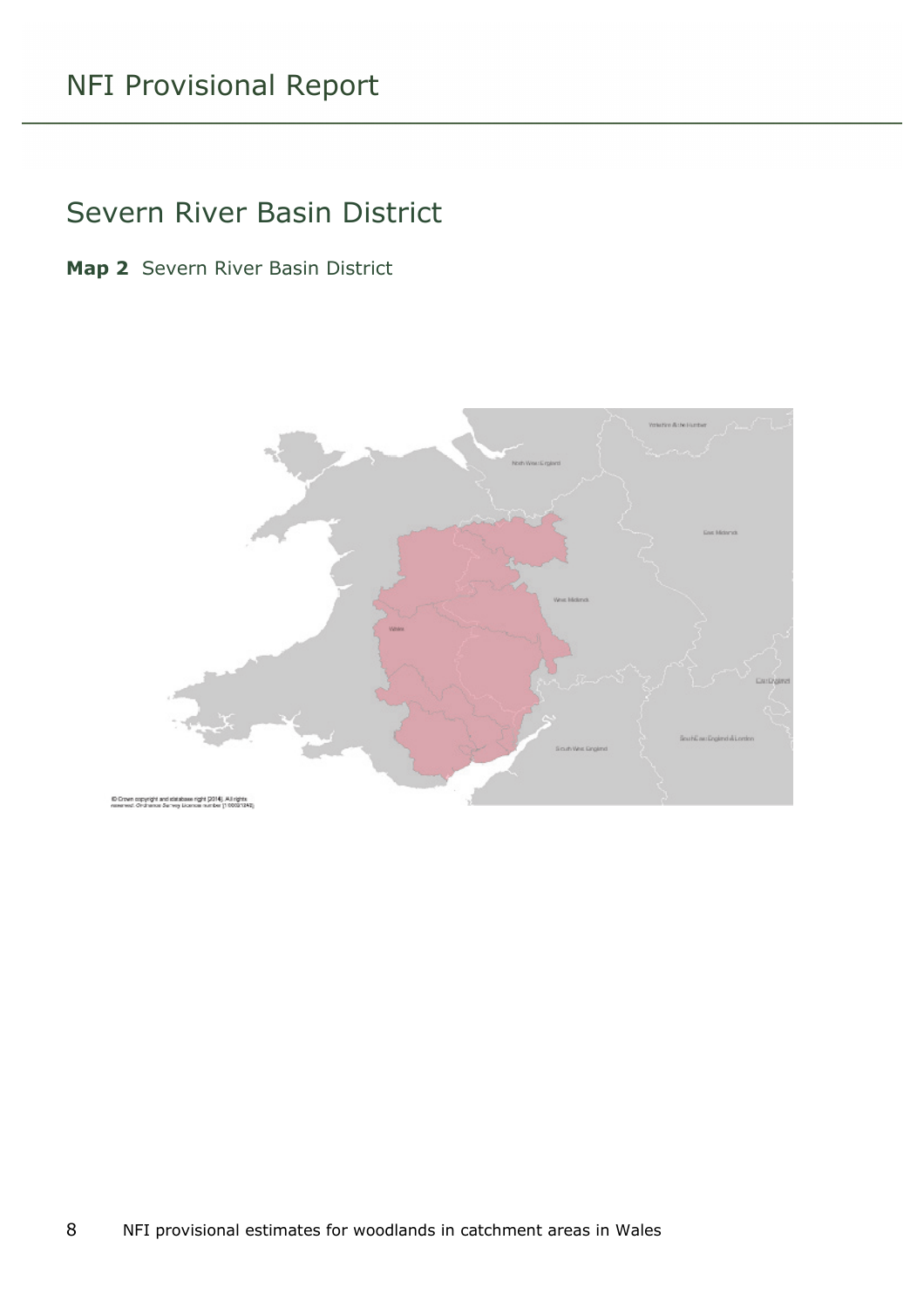#### <span id="page-7-0"></span>Severn River Basin District

<span id="page-7-1"></span>**Map 2** Severn River Basin District

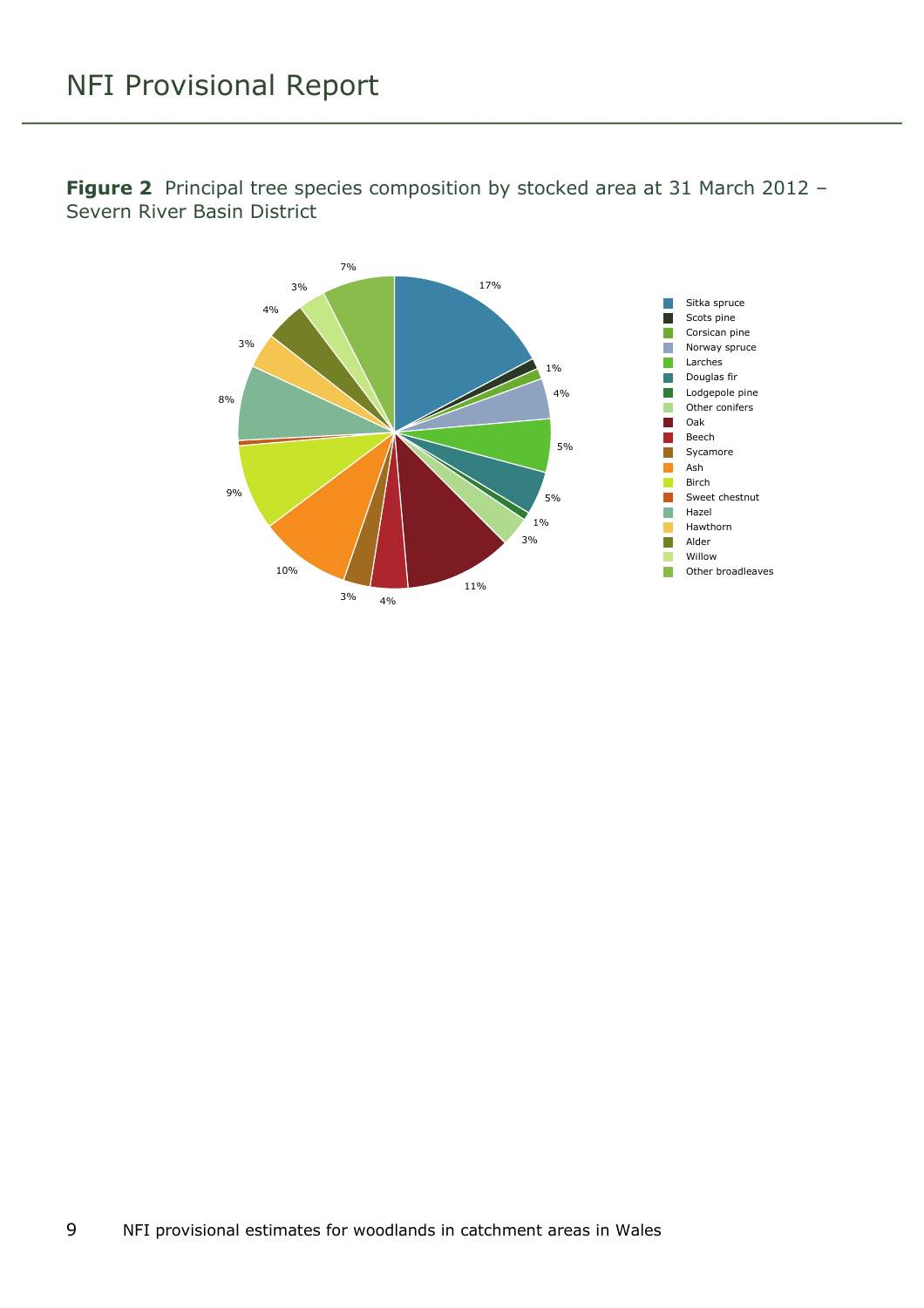

<span id="page-8-0"></span>**Figure 2** Principal tree species composition by stocked area at 31 March 2012 – Severn River Basin District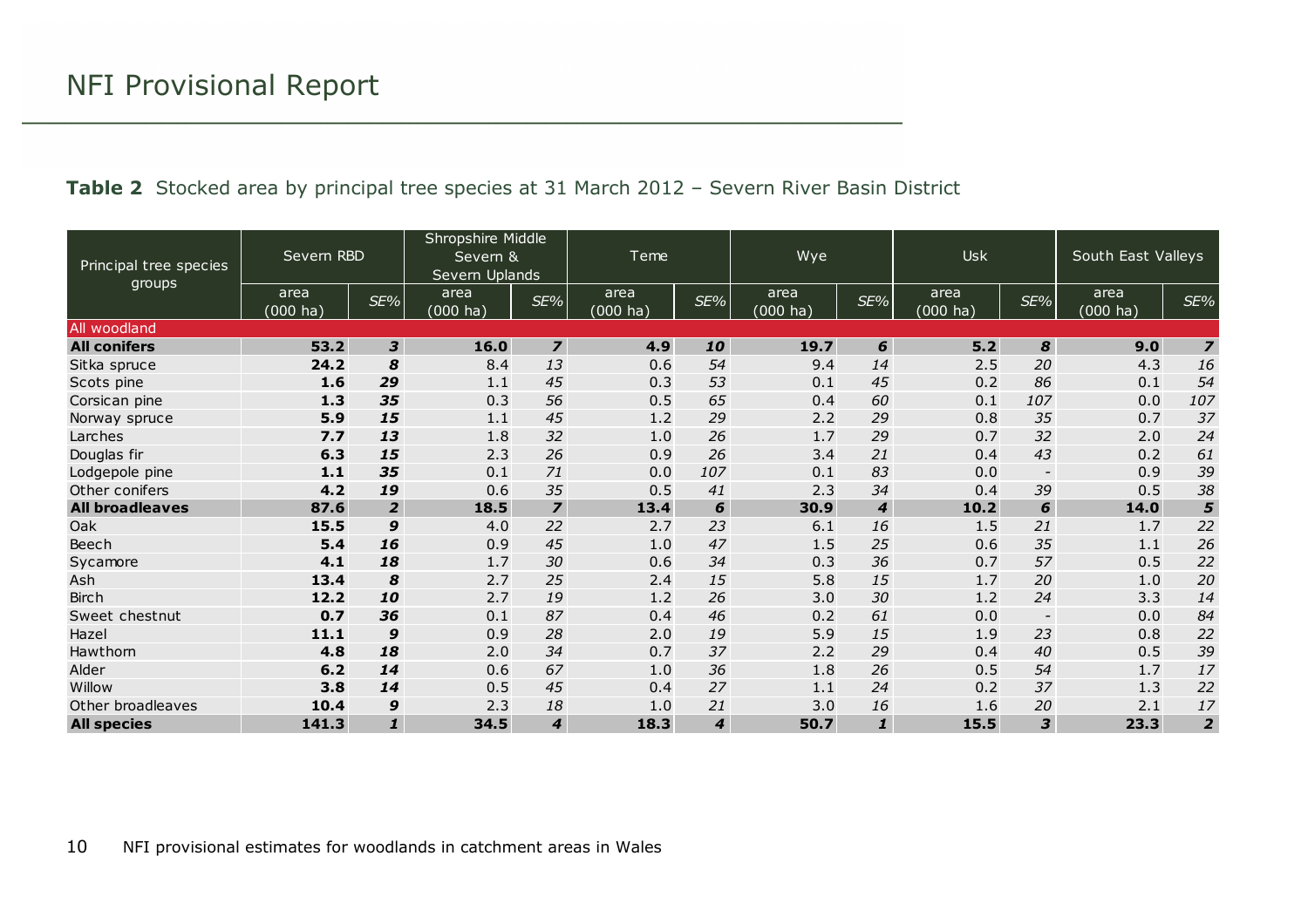<span id="page-9-0"></span>

| Principal tree species | Severn RBD       |                | Shropshire Middle<br>Severn &<br>Severn Uplands |                          | Teme                       |                             | Wye              |                  | <b>Usk</b>                 |                          | South East Valleys         |                         |
|------------------------|------------------|----------------|-------------------------------------------------|--------------------------|----------------------------|-----------------------------|------------------|------------------|----------------------------|--------------------------|----------------------------|-------------------------|
| groups                 | area<br>(000 ha` | SE%            | area<br>$(000 \text{ ha})$                      | SE%                      | area<br>$(000 \text{ ha})$ | SE%                         | area<br>(000 ha) | SE%              | area<br>$(000 \text{ ha})$ | $SE\%$                   | area<br>$(000 \text{ ha})$ | SE%                     |
| All woodland           |                  |                |                                                 |                          |                            |                             |                  |                  |                            |                          |                            |                         |
| <b>All conifers</b>    | 53.2             | 3              | 16.0                                            | $\overline{\mathbf{z}}$  | 4.9                        | 10                          | 19.7             | 6                | $5.2$                      | 8                        | 9.0                        | $\overline{\mathbf{z}}$ |
| Sitka spruce           | 24.2             | 8              | 8.4                                             | 13                       | 0.6                        | 54                          | 9.4              | 14               | 2.5                        | 20                       | 4.3                        | 16                      |
| Scots pine             | 1.6              | 29             | 1.1                                             | 45                       | 0.3                        | 53                          | 0.1              | 45               | 0.2                        | 86                       | 0.1                        | 54                      |
| Corsican pine          | 1.3              | 35             | 0.3                                             | 56                       | 0.5                        | 65                          | 0.4              | 60               | 0.1                        | 107                      | 0.0                        | 107                     |
| Norway spruce          | 5.9              | 15             | 1.1                                             | 45                       | 1.2                        | 29                          | 2.2              | 29               | 0.8                        | 35                       | 0.7                        | 37                      |
| Larches                | 7.7              | 13             | 1.8                                             | 32                       | 1.0                        | 26                          | 1.7              | 29               | 0.7                        | 32                       | 2.0                        | 24                      |
| Douglas fir            | 6.3              | 15             | 2.3                                             | 26                       | 0.9                        | 26                          | 3.4              | 21               | 0.4                        | 43                       | 0.2                        | 61                      |
| Lodgepole pine         | 1.1              | 35             | 0.1                                             | 71                       | 0.0                        | 107                         | 0.1              | 83               | 0.0                        | $\overline{\phantom{a}}$ | 0.9                        | 39                      |
| Other conifers         | 4.2              | 19             | 0.6                                             | 35                       | 0.5                        | 41                          | 2.3              | 34               | 0.4                        | 39                       | 0.5                        | 38                      |
| <b>All broadleaves</b> | 87.6             | $\overline{2}$ | 18.5                                            | $\overline{\phantom{a}}$ | 13.4                       | 6                           | 30.9             | $\boldsymbol{4}$ | 10.2                       | 6                        | 14.0                       | 5                       |
| Oak                    | 15.5             | 9              | 4.0                                             | 22                       | 2.7                        | 23                          | 6.1              | 16               | 1.5                        | 21                       | 1.7                        | 22                      |
| Beech                  | 5.4              | 16             | 0.9                                             | 45                       | 1.0                        | 47                          | 1.5              | 25               | 0.6                        | 35                       | 1.1                        | 26                      |
| Sycamore               | 4.1              | 18             | 1.7                                             | 30                       | 0.6                        | 34                          | 0.3              | 36               | 0.7                        | 57                       | 0.5                        | 22                      |
| Ash                    | 13.4             | 8              | 2.7                                             | 25                       | 2.4                        | 15                          | 5.8              | 15               | 1.7                        | 20                       | 1.0                        | 20                      |
| <b>Birch</b>           | 12.2             | 10             | 2.7                                             | 19                       | 1.2                        | 26                          | 3.0              | 30               | 1.2                        | 24                       | 3.3                        | 14                      |
| Sweet chestnut         | 0.7              | 36             | 0.1                                             | 87                       | 0.4                        | 46                          | 0.2              | 61               | 0.0                        | $\overline{\phantom{a}}$ | 0.0                        | 84                      |
| Hazel                  | 11.1             | 9              | 0.9                                             | 28                       | 2.0                        | 19                          | 5.9              | 15               | 1.9                        | 23                       | 0.8                        | 22                      |
| Hawthorn               | 4.8              | 18             | 2.0                                             | 34                       | 0.7                        | 37                          | 2.2              | 29               | 0.4                        | 40                       | 0.5                        | 39                      |
| Alder                  | 6.2              | 14             | 0.6                                             | 67                       | 1.0                        | 36                          | 1.8              | 26               | 0.5                        | 54                       | 1.7                        | 17                      |
| Willow                 | 3.8              | 14             | 0.5                                             | 45                       | 0.4                        | 27                          | 1.1              | 24               | 0.2                        | 37                       | 1.3                        | 22                      |
| Other broadleaves      | 10.4             | 9              | 2.3                                             | 18                       | 1.0                        | 21                          | 3.0              | 16               | 1.6                        | 20                       | 2.1                        | $17$                    |
| <b>All species</b>     | 141.3            | $\mathbf{1}$   | 34.5                                            | $\boldsymbol{4}$         | 18.3                       | $\overline{\boldsymbol{4}}$ | 50.7             | $\mathbf{1}$     | 15.5                       | 3                        | 23.3                       | $\overline{2}$          |

#### **Table 2** Stocked area by principal tree species at 31 March 2012 – Severn River Basin District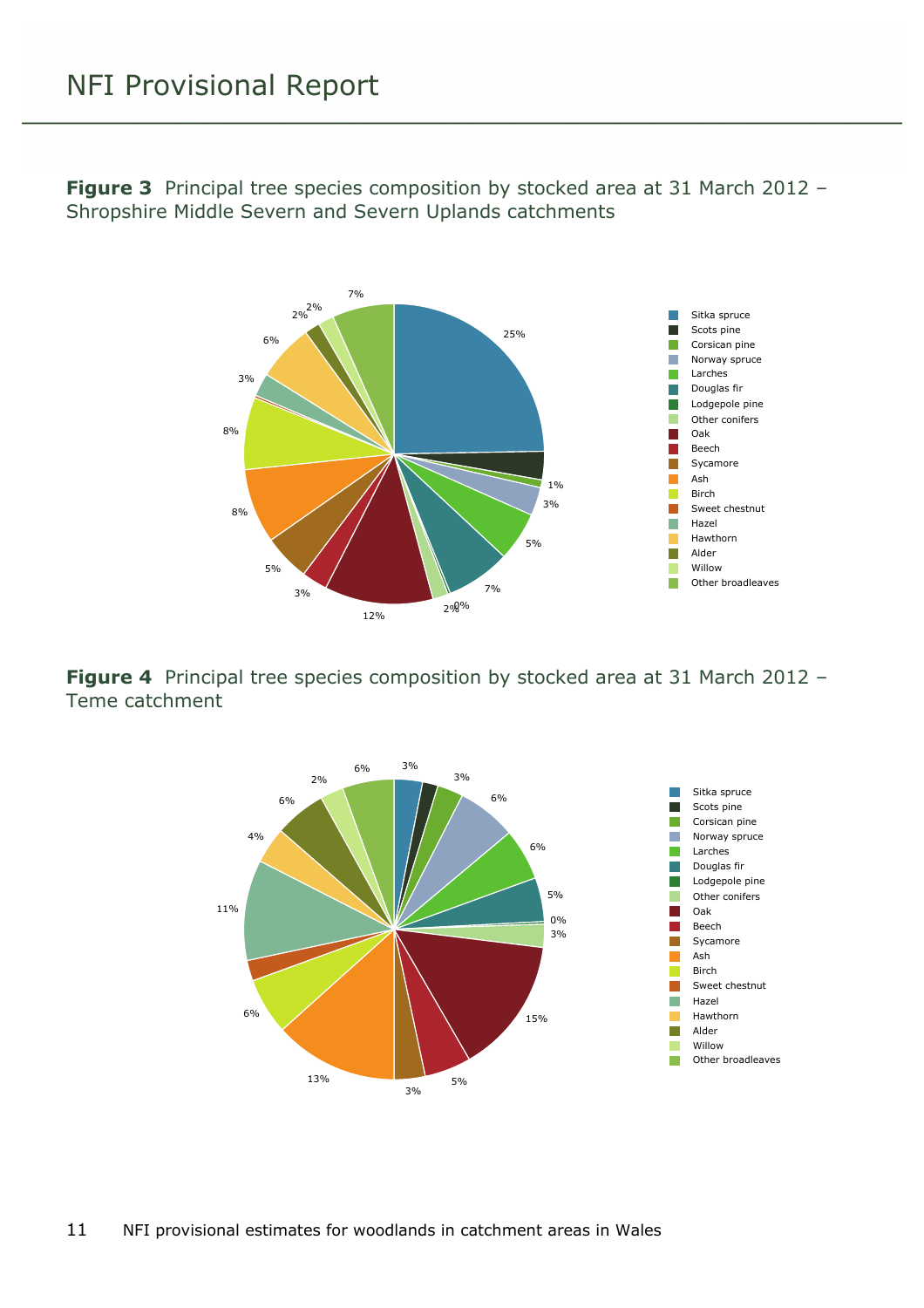

<span id="page-10-0"></span>**Figure 3** Principal tree species composition by stocked area at 31 March 2012 – Shropshire Middle Severn and Severn Uplands catchments

<span id="page-10-1"></span>**Figure 4** Principal tree species composition by stocked area at 31 March 2012 – Teme catchment

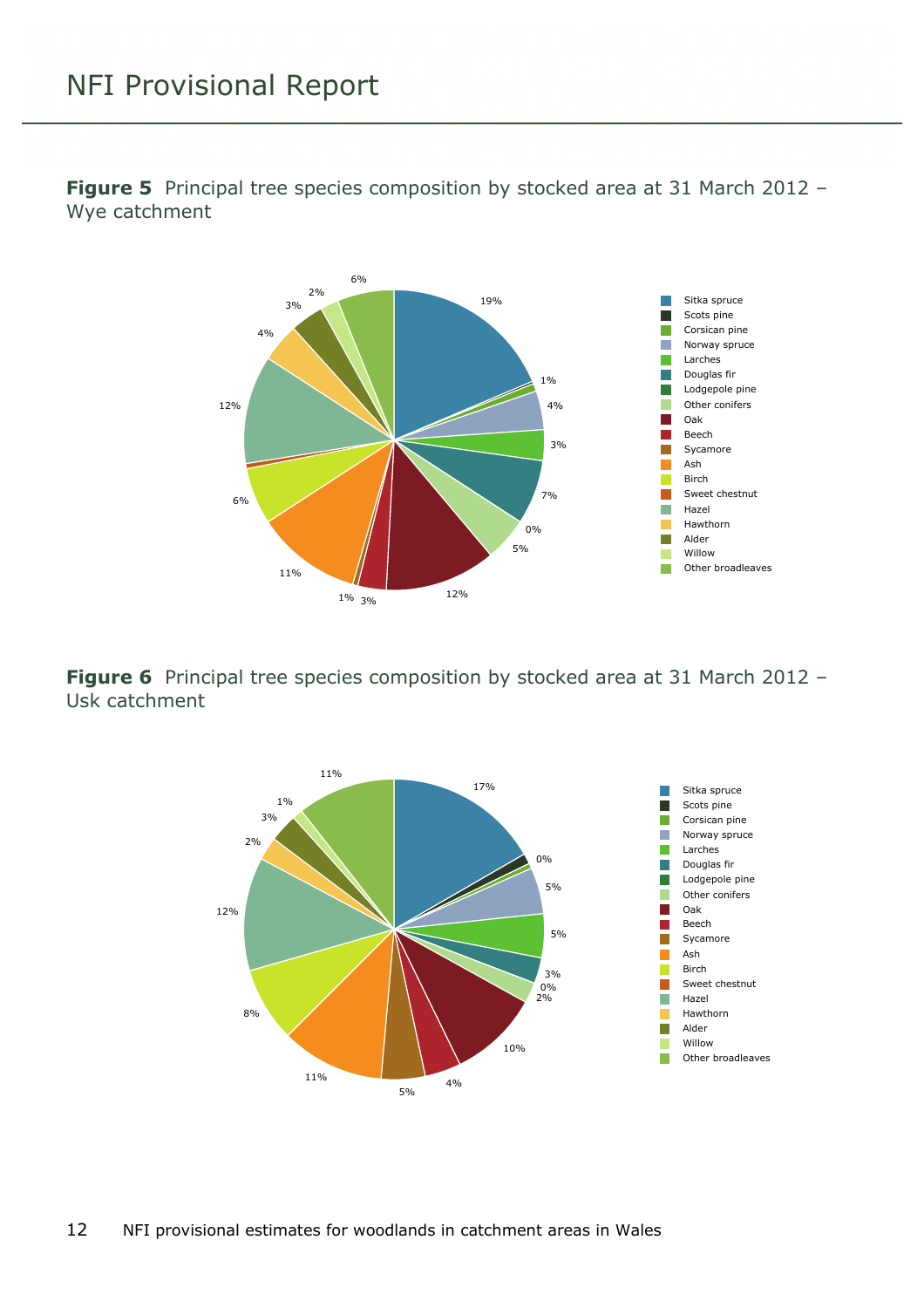<span id="page-11-0"></span>**Figure 5** Principal tree species composition by stocked area at 31 March 2012 – Wye catchment



<span id="page-11-1"></span>**Figure 6** Principal tree species composition by stocked area at 31 March 2012 – Usk catchment

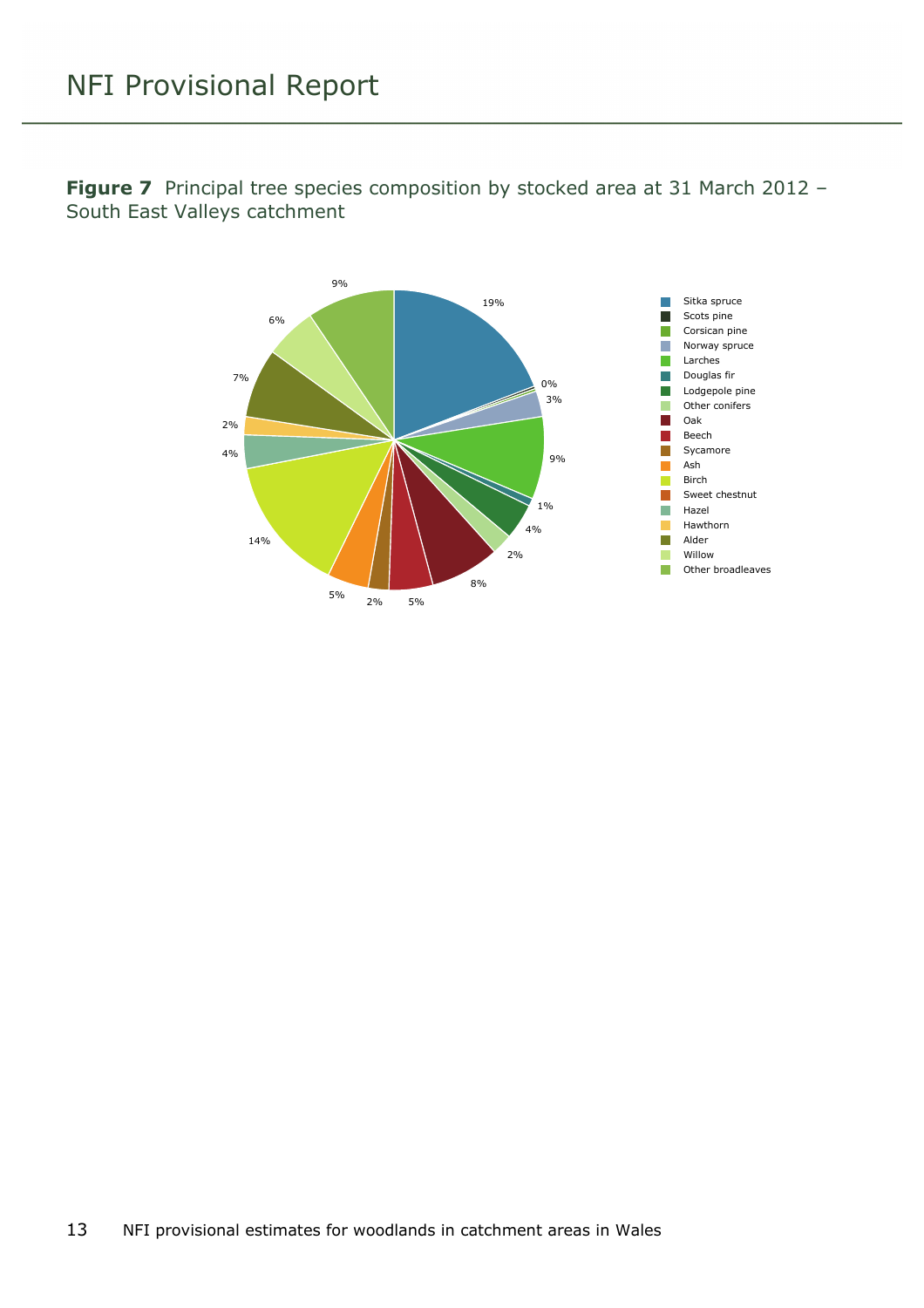<span id="page-12-0"></span>**Figure 7** Principal tree species composition by stocked area at 31 March 2012 – South East Valleys catchment

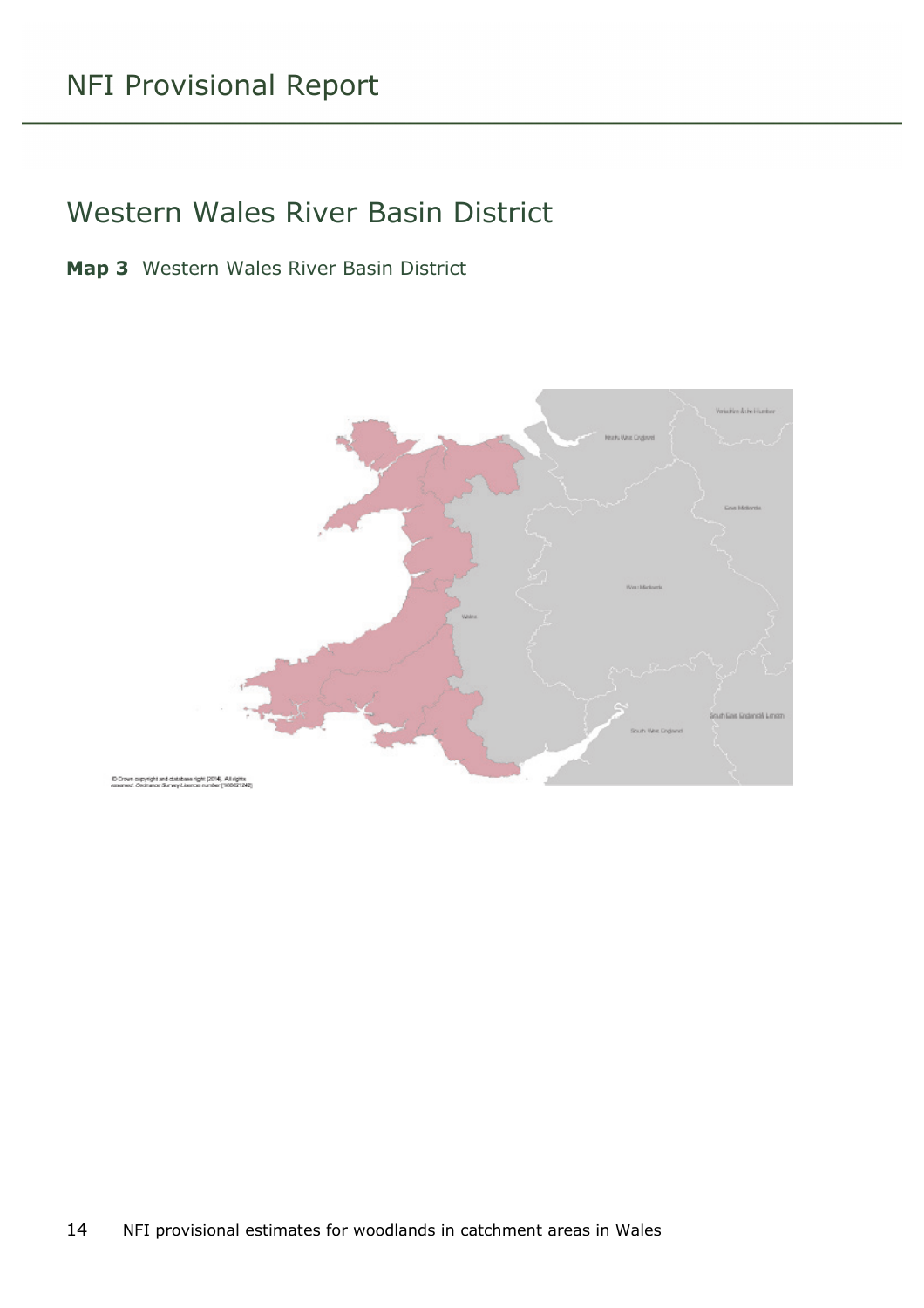#### <span id="page-13-0"></span>Western Wales River Basin District

<span id="page-13-1"></span>**Map 3** Western Wales River Basin District

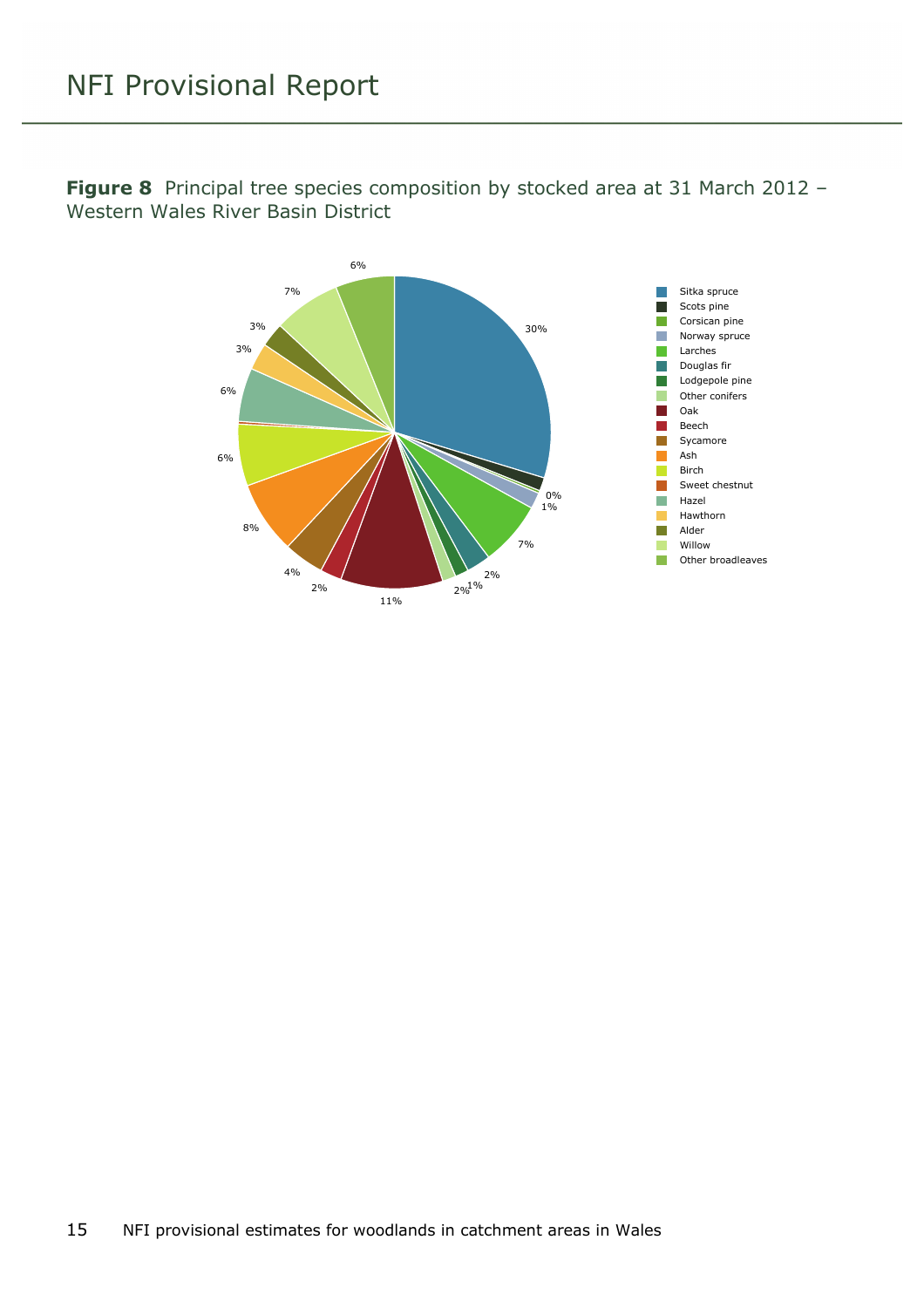

<span id="page-14-0"></span>**Figure 8** Principal tree species composition by stocked area at 31 March 2012 – Western Wales River Basin District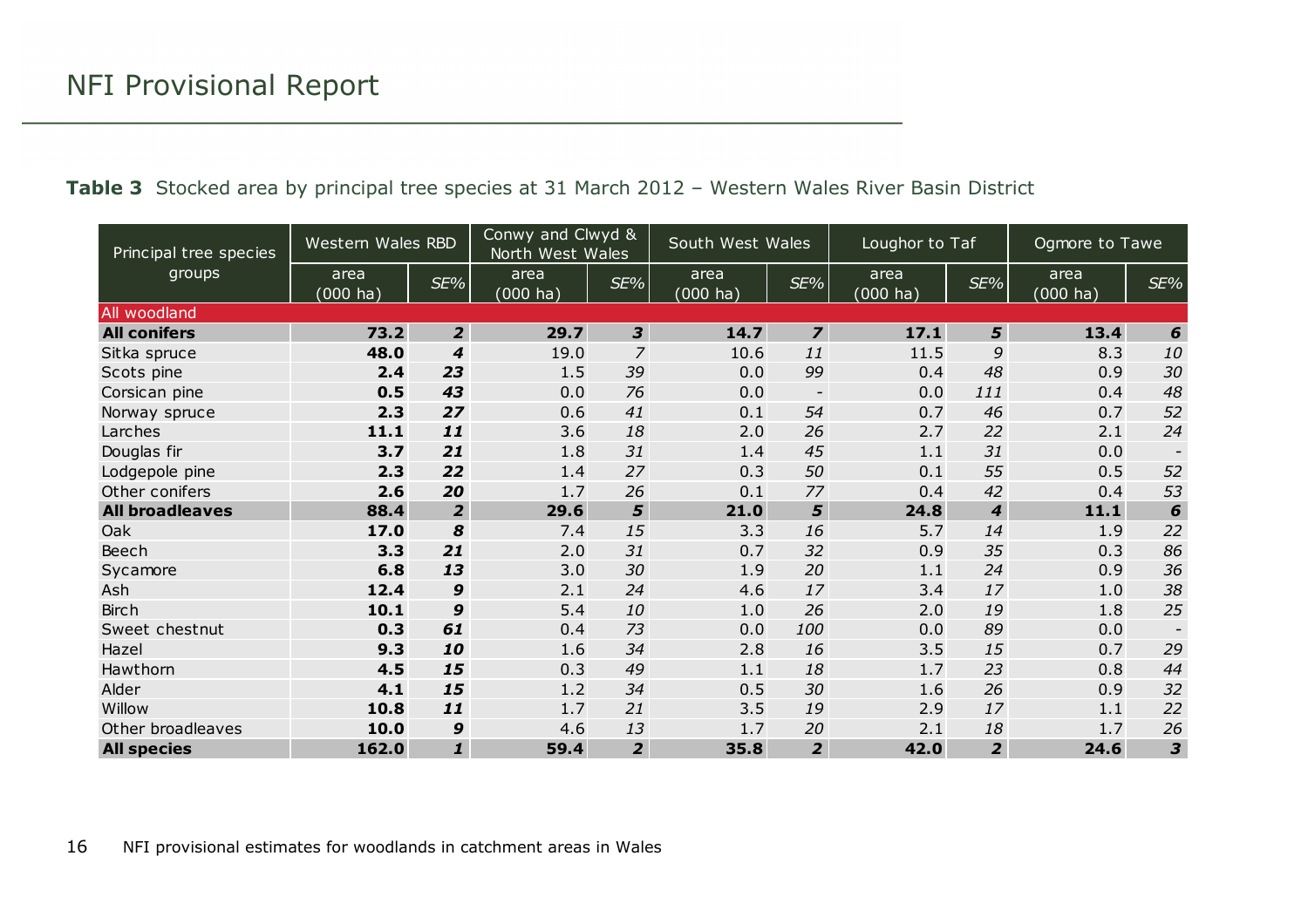<span id="page-15-0"></span>

| Principal tree species | Western Wales RBD          |                  | Conwy and Clwyd &<br>North West Wales |                | South West Wales           |                | Loughor to Taf             |                  | Ogmore to Tawe             |                          |
|------------------------|----------------------------|------------------|---------------------------------------|----------------|----------------------------|----------------|----------------------------|------------------|----------------------------|--------------------------|
| groups                 | area<br>$(000 \text{ ha})$ | SE%              | area<br>$(000 \text{ ha})$            | $SE\%$         | area<br>$(000 \text{ ha})$ | SE%            | area<br>$(000 \text{ ha})$ | SE%              | area<br>$(000 \text{ ha})$ | SE%                      |
| All woodland           |                            |                  |                                       |                |                            |                |                            |                  |                            |                          |
| <b>All conifers</b>    | 73.2                       | $\overline{2}$   | 29.7                                  | 3 <sup>1</sup> | 14.7                       | $\overline{z}$ | 17.1                       | 5                | 13.4                       | 6                        |
| Sitka spruce           | 48.0                       | $\boldsymbol{4}$ | 19.0                                  | $\overline{z}$ | 10.6                       | 11             | 11.5                       | 9                | 8.3                        | 10                       |
| Scots pine             | 2.4                        | 23               | 1.5                                   | 39             | 0.0                        | 99             | 0.4                        | 48               | 0.9                        | 30                       |
| Corsican pine          | 0.5                        | 43               | 0.0                                   | 76             | 0.0                        | $\blacksquare$ | 0.0                        | 111              | 0.4                        | 48                       |
| Norway spruce          | 2.3                        | 27               | 0.6                                   | 41             | 0.1                        | 54             | 0.7                        | 46               | 0.7                        | 52                       |
| Larches                | 11.1                       | 11               | 3.6                                   | 18             | 2.0                        | 26             | 2.7                        | 22               | 2.1                        | 24                       |
| Douglas fir            | 3.7                        | 21               | 1.8                                   | 31             | 1.4                        | 45             | 1.1                        | 31               | 0.0                        | $\overline{\phantom{a}}$ |
| Lodgepole pine         | 2.3                        | 22               | 1.4                                   | 27             | 0.3                        | 50             | 0.1                        | 55               | 0.5                        | 52                       |
| Other conifers         | 2.6                        | 20               | 1.7                                   | 26             | 0.1                        | 77             | 0.4                        | 42               | 0.4                        | 53                       |
| <b>All broadleaves</b> | 88.4                       | $\overline{2}$   | 29.6                                  | 5              | 21.0                       | 5              | 24.8                       | $\boldsymbol{4}$ | 11.1                       | $\boldsymbol{6}$         |
| Oak                    | 17.0                       | 8                | 7.4                                   | 15             | 3.3                        | 16             | 5.7                        | 14               | 1.9                        | 22                       |
| Beech                  | 3.3                        | 21               | 2.0                                   | 31             | 0.7                        | 32             | 0.9                        | 35               | 0.3                        | 86                       |
| Sycamore               | 6.8                        | 13               | 3.0                                   | 30             | 1.9                        | 20             | 1.1                        | 24               | 0.9                        | 36                       |
| Ash                    | 12.4                       | $\boldsymbol{9}$ | 2.1                                   | 24             | 4.6                        | 17             | 3.4                        | 17               | 1.0                        | 38                       |
| <b>Birch</b>           | 10.1                       | 9                | 5.4                                   | 10             | 1.0                        | 26             | 2.0                        | 19               | 1.8                        | 25                       |
| Sweet chestnut         | 0.3                        | 61               | 0.4                                   | 73             | 0.0                        | 100            | 0.0                        | 89               | 0.0                        | $\overline{\phantom{a}}$ |
| Hazel                  | 9.3                        | 10               | 1.6                                   | 34             | 2.8                        | 16             | 3.5                        | 15               | 0.7                        | 29                       |
| Hawthorn               | 4.5                        | 15               | 0.3                                   | 49             | 1.1                        | 18             | 1.7                        | 23               | 0.8                        | 44                       |
| Alder                  | 4.1                        | 15               | 1.2                                   | 34             | 0.5                        | 30             | 1.6                        | 26               | 0.9                        | 32                       |
| Willow                 | 10.8                       | 11               | 1.7                                   | 21             | 3.5                        | 19             | 2.9                        | 17               | 1.1                        | 22                       |
| Other broadleaves      | 10.0                       | 9                | 4.6                                   | 13             | 1.7                        | 20             | 2.1                        | 18               | 1.7                        | 26                       |
| <b>All species</b>     | 162.0                      | $\mathbf{1}$     | 59.4                                  | $\overline{2}$ | 35.8                       | $\overline{2}$ | 42.0                       | $\overline{2}$   | 24.6                       | $\overline{\mathbf{3}}$  |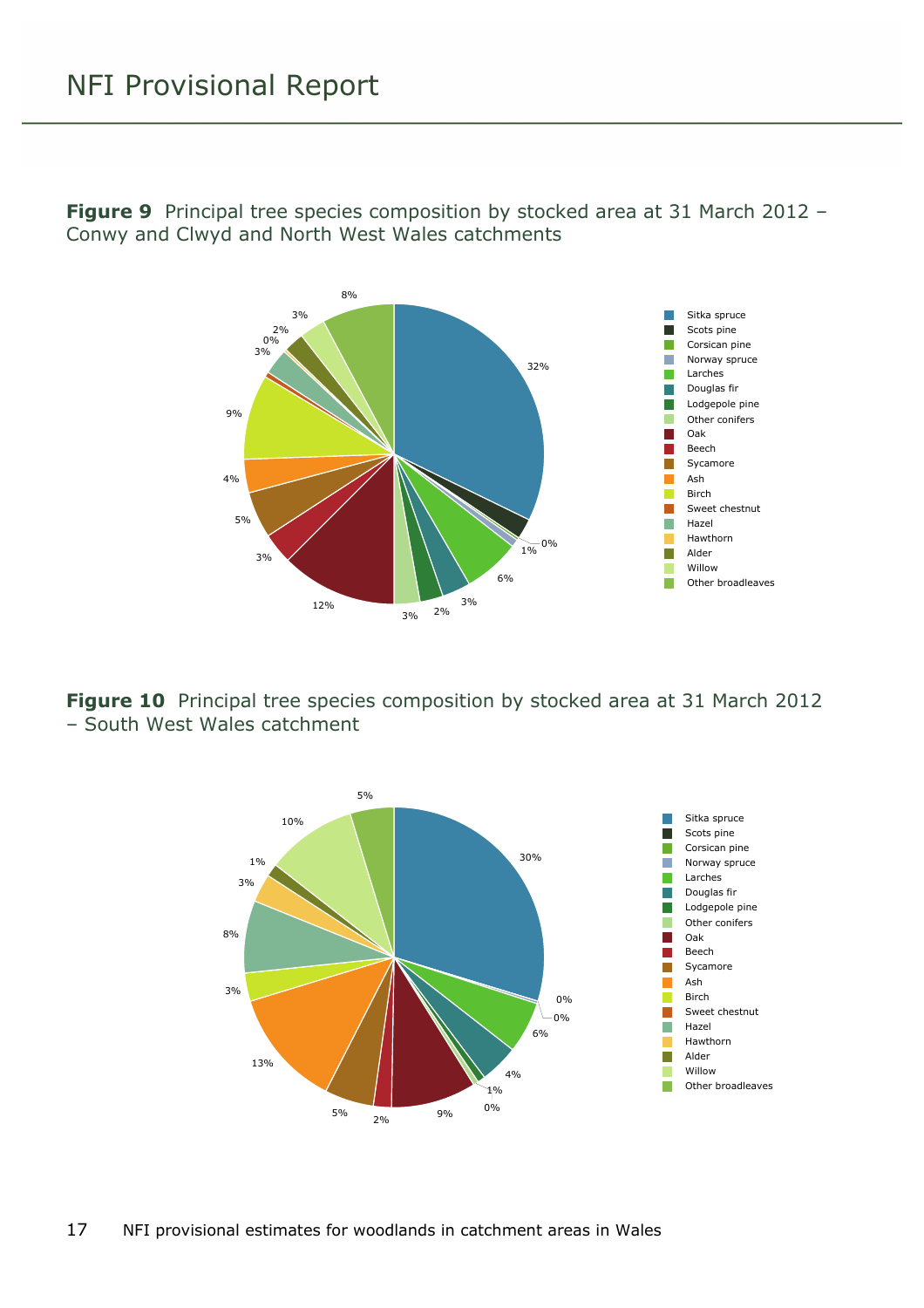<span id="page-16-0"></span>**Figure 9** Principal tree species composition by stocked area at 31 March 2012 – Conwy and Clwyd and North West Wales catchments



<span id="page-16-1"></span>**Figure 10** Principal tree species composition by stocked area at 31 March 2012 – South West Wales catchment



17 NFI provisional estimates for woodlands in catchment areas in Wales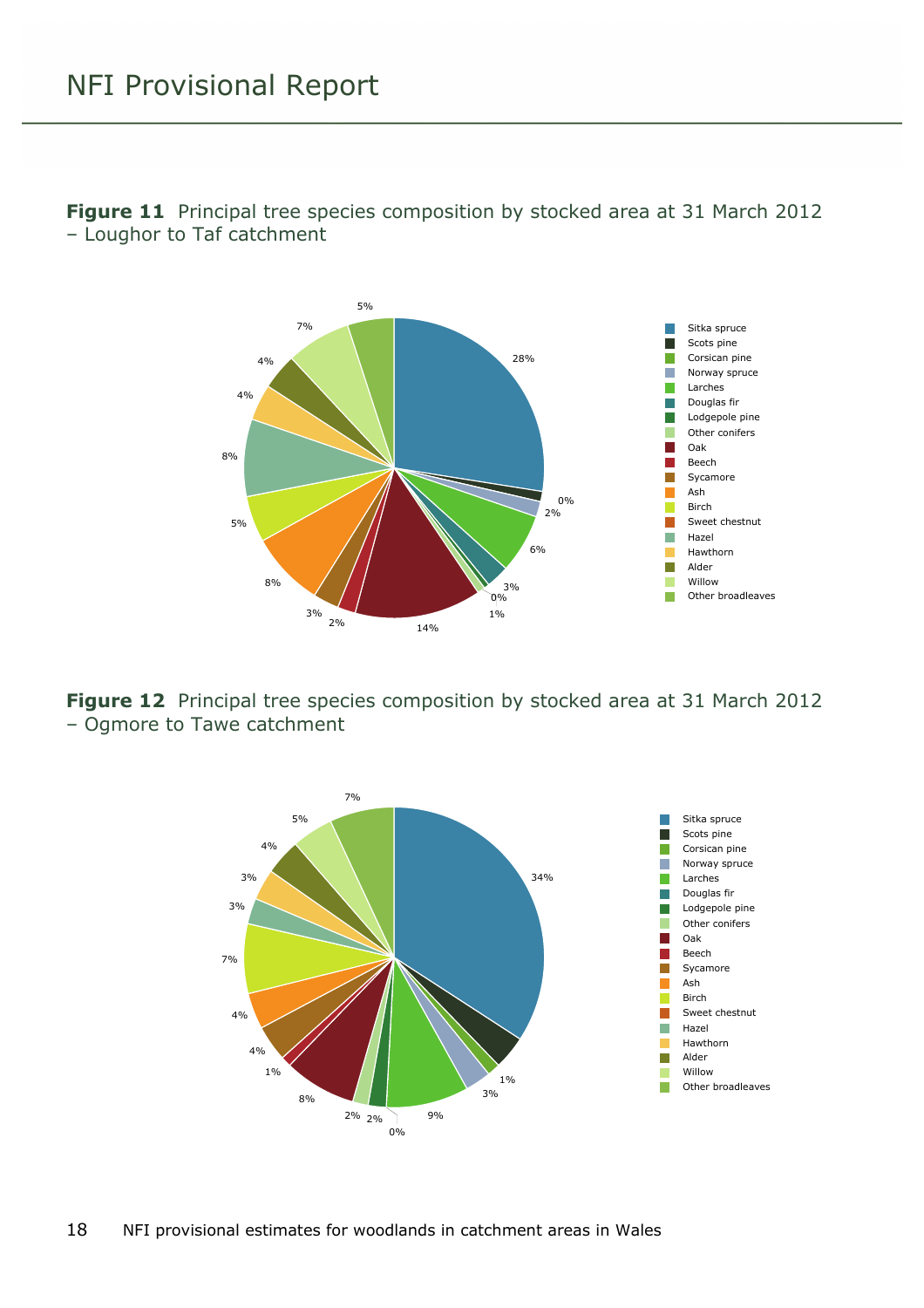<span id="page-17-0"></span>



<span id="page-17-1"></span>**Figure 12** Principal tree species composition by stocked area at 31 March 2012 – Ogmore to Tawe catchment